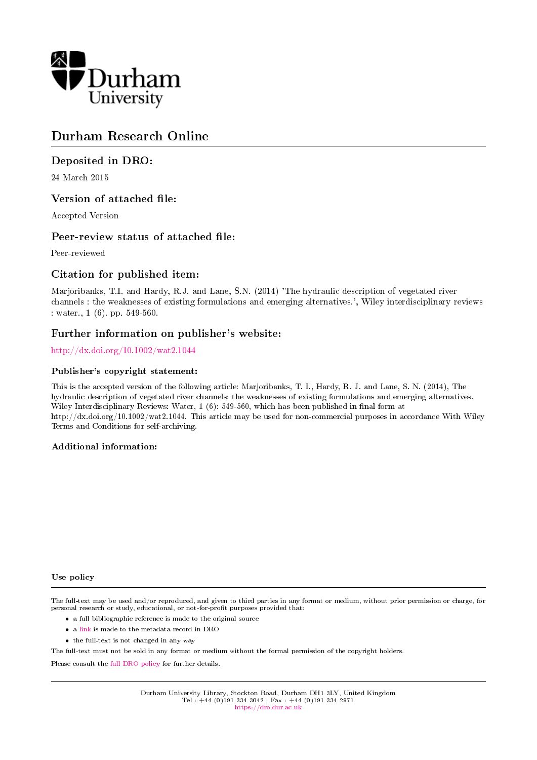

# Durham Research Online

## Deposited in DRO:

24 March 2015

## Version of attached file:

Accepted Version

## Peer-review status of attached file:

Peer-reviewed

## Citation for published item:

Marjoribanks, T.I. and Hardy, R.J. and Lane, S.N. (2014) 'The hydraulic description of vegetated river channels : the weaknesses of existing formulations and emerging alternatives.', Wiley interdisciplinary reviews : water., 1 (6). pp. 549-560.

## Further information on publisher's website:

<http://dx.doi.org/10.1002/wat2.1044>

### Publisher's copyright statement:

This is the accepted version of the following article: Marjoribanks, T. I., Hardy, R. J. and Lane, S. N. (2014), The hydraulic description of vegetated river channels: the weaknesses of existing formulations and emerging alternatives. Wiley Interdisciplinary Reviews: Water,  $1(6)$ : 549-560, which has been published in final form at http://dx.doi.org/10.1002/wat2.1044. This article may be used for non-commercial purposes in accordance With Wiley Terms and Conditions for self-archiving.

### Additional information:

#### Use policy

The full-text may be used and/or reproduced, and given to third parties in any format or medium, without prior permission or charge, for personal research or study, educational, or not-for-profit purposes provided that:

- a full bibliographic reference is made to the original source
- a [link](http://dro.dur.ac.uk/14928/) is made to the metadata record in DRO
- the full-text is not changed in any way

The full-text must not be sold in any format or medium without the formal permission of the copyright holders.

Please consult the [full DRO policy](https://dro.dur.ac.uk/policies/usepolicy.pdf) for further details.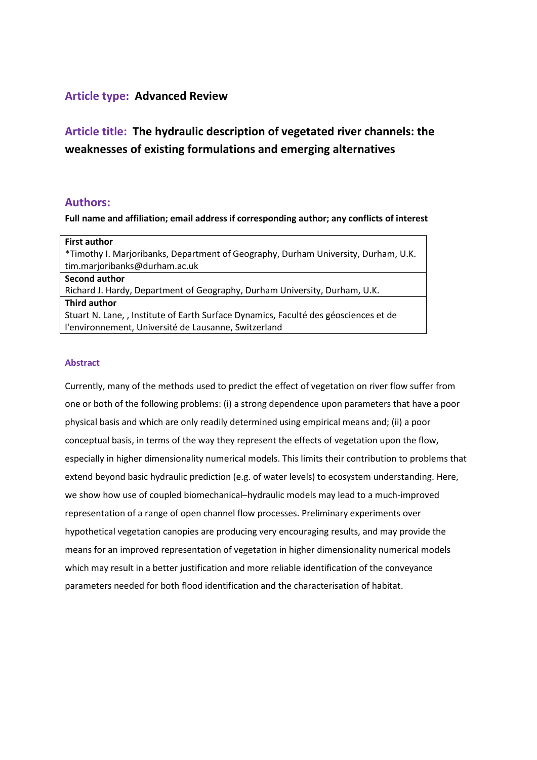## **Article type: Advanced Review**

**Article title: The hydraulic description of vegetated river channels: the weaknesses of existing formulations and emerging alternatives**

### **Authors:**

**Full name and affiliation; email address if corresponding author; any conflicts of interest**

| <b>First author</b>                                                                  |
|--------------------------------------------------------------------------------------|
| *Timothy I. Marjoribanks, Department of Geography, Durham University, Durham, U.K.   |
| tim.marjoribanks@durham.ac.uk                                                        |
| Second author                                                                        |
| Richard J. Hardy, Department of Geography, Durham University, Durham, U.K.           |
| Third author                                                                         |
| Stuart N. Lane, , Institute of Earth Surface Dynamics, Faculté des géosciences et de |
| l'environnement, Université de Lausanne, Switzerland                                 |

#### **Abstract**

Currently, many of the methods used to predict the effect of vegetation on river flow suffer from one or both of the following problems: (i) a strong dependence upon parameters that have a poor physical basis and which are only readily determined using empirical means and; (ii) a poor conceptual basis, in terms of the way they represent the effects of vegetation upon the flow, especially in higher dimensionality numerical models. This limits their contribution to problems that extend beyond basic hydraulic prediction (e.g. of water levels) to ecosystem understanding. Here, we show how use of coupled biomechanical–hydraulic models may lead to a much-improved representation of a range of open channel flow processes. Preliminary experiments over hypothetical vegetation canopies are producing very encouraging results, and may provide the means for an improved representation of vegetation in higher dimensionality numerical models which may result in a better justification and more reliable identification of the conveyance parameters needed for both flood identification and the characterisation of habitat.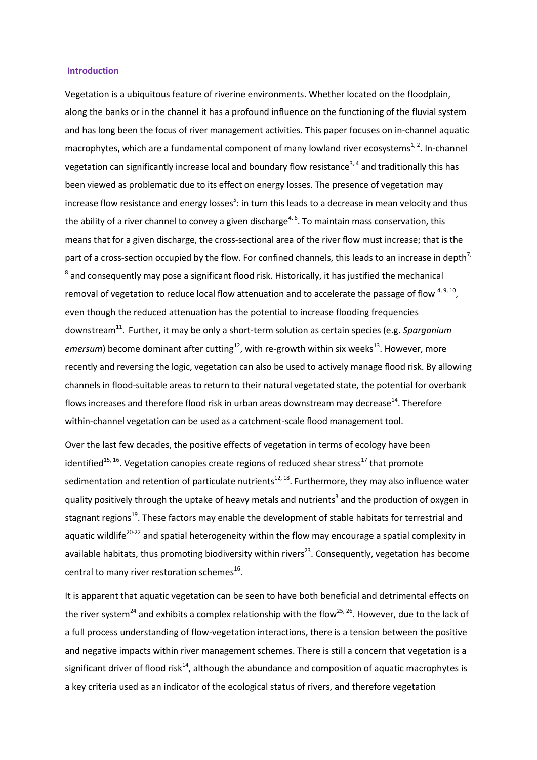#### **Introduction**

Vegetation is a ubiquitous feature of riverine environments. Whether located on the floodplain, along the banks or in the channel it has a profound influence on the functioning of the fluvial system and has long been the focus of river management activities. This paper focuses on in-channel aquatic macrophytes, which are a fundamental component of many lowland river ecosystems<sup>[1,](#page-12-0)2</sup>. In-channel vegetation can significantly increase local and boundary flow resistance<sup>[3,](#page-12-2) [4](#page-12-3)</sup> and traditionally this has been viewed as problematic due to its effect on energy losses. The presence of vegetation may increa[s](#page-12-4)e flow resistance and energy losses<sup>5</sup>: in turn this leads to a decrease in mean velocity and thus the ability of a river channel to convey a given discharge<sup>[4,](#page-12-3) [6](#page-12-5)</sup>. To maintain mass conservation, this means that for a given discharge, the cross-sectional area of the river flow must increase; that is the part of a cross-section occupied by the flow. For confined channels, this leads to an increase in depth<sup>7,</sup>  $^8$  $^8$  and consequently may pose a significant flood risk. Historically, it has justified the mechanical removal of vegetation to reduce local flow attenuation and to accelerate the passage of flow  $4,9,10$  $4,9,10$ , even though the reduced attenuation has the potential to increase flooding frequencies downstream<sup>[11](#page-12-10)</sup>. Further, it may be only a short-term solution as certain species (e.g. Sparganium emersum) become dominant after cutting<sup>[12](#page-13-0)</sup>, with re-growth within six weeks<sup>[13](#page-13-1)</sup>. However, more recently and reversing the logic, vegetation can also be used to actively manage flood risk. By allowing channels in flood-suitable areas to return to their natural vegetated state, the potential for overbank flows increases and therefore flood risk in urban areas downstream may decrease<sup>[14](#page-13-2)</sup>. Therefore within-channel vegetation can be used as a catchment-scale flood management tool.

Over the last few decades, the positive effects of vegetation in terms of ecology have been identified<sup>[15,](#page-13-3) [16](#page-13-4)</sup>. Vegetation canopies create regions of reduced shear stress<sup>[17](#page-13-5)</sup> that promote sedimentation and retention of particulate nutrients<sup>[12,](#page-13-0) [18](#page-13-6)</sup>. Furthermore, they may also influence water quality po[s](#page-12-2)itively through the uptake of heavy metals and nutrients<sup>3</sup> and the production of oxygen in stagnant regions<sup>[19](#page-13-7)</sup>. These factors may enable the development of stable habitats for terrestrial and aquatic wildlife<sup>[20-22](#page-13-8)</sup> and spatial heterogeneity within the flow may encourage a spatial complexity in available habitats, thus promoting biodiversity within rivers<sup>[23](#page-13-9)</sup>. Consequently, vegetation has become central to many river restoration schemes $^{16}$  $^{16}$  $^{16}$ .

It is apparent that aquatic vegetation can be seen to have both beneficial and detrimental effects on the river system<sup>[24](#page-13-10)</sup> and exhibits a complex relationship with the flow<sup>[25,](#page-13-11) [26](#page-13-12)</sup>. However, due to the lack of a full process understanding of flow-vegetation interactions, there is a tension between the positive and negative impacts within river management schemes. There is still a concern that vegetation is a significant driver of flood risk<sup>[14](#page-13-2)</sup>, although the abundance and composition of aquatic macrophytes is a key criteria used as an indicator of the ecological status of rivers, and therefore vegetation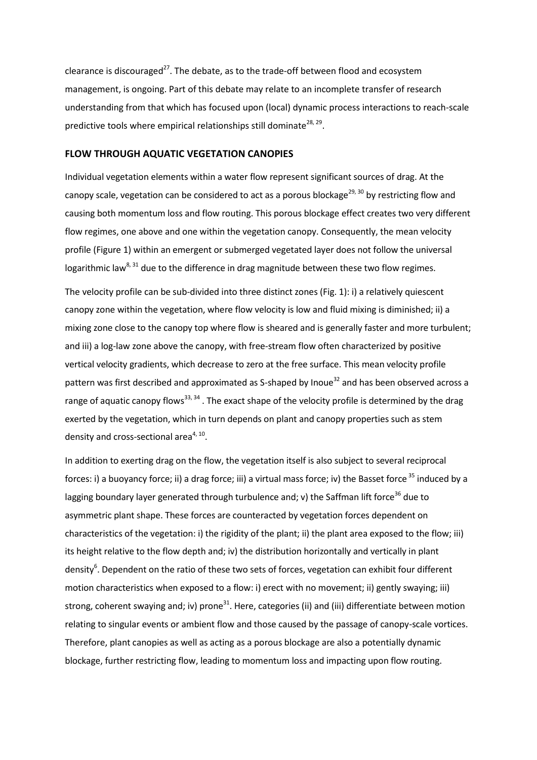clearance is discouraged<sup>[27](#page-13-13)</sup>. The debate, as to the trade-off between flood and ecosystem management, is ongoing. Part of this debate may relate to an incomplete transfer of research understanding from that which has focused upon (local) dynamic process interactions to reach-scale predictive tools where empirical relationships still dominate<sup>[28,](#page-13-14) [29](#page-13-15)</sup>.

### **FLOW THROUGH AQUATIC VEGETATION CANOPIES**

Individual vegetation elements within a water flow represent significant sources of drag. At the canopy scale, vegetation can be considered to act as a porous blockage<sup>[29,](#page-13-15) [30](#page-13-16)</sup> by restricting flow and causing both momentum loss and flow routing. This porous blockage effect creates two very different flow regimes, one above and one within the vegetation canopy. Consequently, the mean velocity profile (Figure 1) within an emergent or submerged vegetated layer does not follow the universal logarithmic law<sup>[8,](#page-12-7) [31](#page-13-17)</sup> due to the difference in drag magnitude between these two flow regimes.

The velocity profile can be sub-divided into three distinct zones (Fig. 1): i) a relatively quiescent canopy zone within the vegetation, where flow velocity is low and fluid mixing is diminished; ii) a mixing zone close to the canopy top where flow is sheared and is generally faster and more turbulent; and iii) a log-law zone above the canopy, with free-stream flow often characterized by positive vertical velocity gradients, which decrease to zero at the free surface. This mean velocity profile pattern was first described and approximated as S-shaped by Inoue<sup>[32](#page-13-18)</sup> and has been observed across a range of aquatic canopy flows<sup>[33,](#page-13-19) [34](#page-14-0)</sup>. The exact shape of the velocity profile is determined by the drag exerted by the vegetation, which in turn depends on plant and canopy properties such as stem density and cross-sectional area<sup>[4,](#page-12-3) [10](#page-12-9)</sup>.

In addition to exerting drag on the flow, the vegetation itself is also subject to several reciprocal forces: i) a buoyancy force; ii) a drag force; iii) a virtual mass force; iv) the Basset force <sup>[35](#page-14-1)</sup> induced by a lagging boundary layer generated through turbulence and; v) the Saffman lift force<sup>[36](#page-14-2)</sup> due to asymmetric plant shape. These forces are counteracted by vegetation forces dependent on characteristics of the vegetation: i) the rigidity of the plant; ii) the plant area exposed to the flow; iii) its height relative to the flow depth and; iv) the distribution horizontally and vertically in plant densit[y](#page-12-5)<sup>6</sup>. Dependent on the ratio of these two sets of forces, vegetation can exhibit four different motion characteristics when exposed to a flow: i) erect with no movement; ii) gently swaying; iii) strong, coherent swaying and; iv) prone<sup>[31](#page-13-17)</sup>. Here, categories (ii) and (iii) differentiate between motion relating to singular events or ambient flow and those caused by the passage of canopy-scale vortices. Therefore, plant canopies as well as acting as a porous blockage are also a potentially dynamic blockage, further restricting flow, leading to momentum loss and impacting upon flow routing.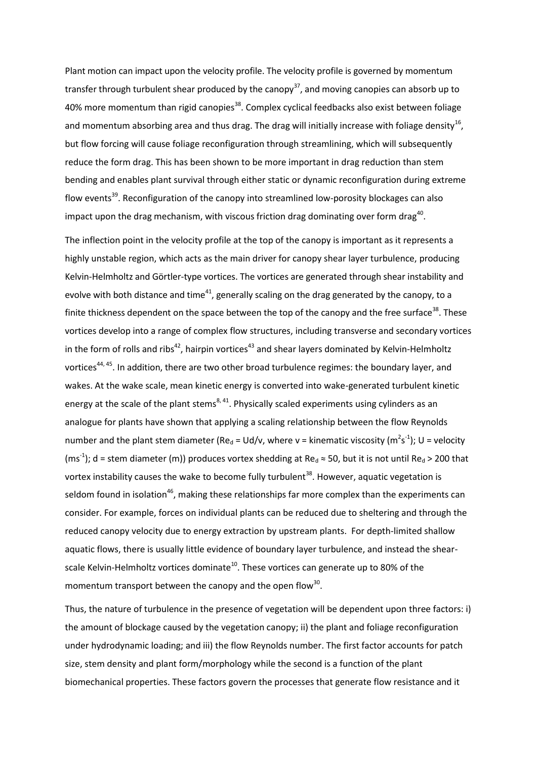Plant motion can impact upon the velocity profile. The velocity profile is governed by momentum transfer through turbulent shear produced by the canopy<sup>[37](#page-14-3)</sup>, and moving canopies can absorb up to 40% more momentum than rigid canopies<sup>[38](#page-14-4)</sup>. Complex cyclical feedbacks also exist between foliage and momentum absorbing area and thus drag. The drag will initially increase with foliage density<sup>[16](#page-13-4)</sup>, but flow forcing will cause foliage reconfiguration through streamlining, which will subsequently reduce the form drag. This has been shown to be more important in drag reduction than stem bending and enables plant survival through either static or dynamic reconfiguration during extreme flow events<sup>[39](#page-14-5)</sup>. Reconfiguration of the canopy into streamlined low-porosity blockages can also impact upon the drag mechanism, with viscous friction drag dominating over form drag<sup>[40](#page-14-6)</sup>.

The inflection point in the velocity profile at the top of the canopy is important as it represents a highly unstable region, which acts as the main driver for canopy shear layer turbulence, producing Kelvin-Helmholtz and Görtler-type vortices. The vortices are generated through shear instability and evolve with both distance and time<sup>[41](#page-14-7)</sup>, generally scaling on the drag generated by the canopy, to a finite thickness dependent on the space between the top of the canopy and the free surface<sup>[38](#page-14-4)</sup>. These vortices develop into a range of complex flow structures, including transverse and secondary vortices in the form of rolls and ribs<sup>[42](#page-14-8)</sup>, hairpin vortices<sup>[43](#page-14-9)</sup> and shear layers dominated by Kelvin-Helmholtz vortices<sup>[44,](#page-14-10) [45](#page-14-11)</sup>. In addition, there are two other broad turbulence regimes: the boundary layer, and wakes. At the wake scale, mean kinetic energy is converted into wake-generated turbulent kinetic energy at the scale of the plant stems<sup>[8,](#page-12-7) [41](#page-14-7)</sup>. Physically scaled experiments using cylinders as an analogue for plants have shown that applying a scaling relationship between the flow Reynolds number and the plant stem diameter (Re<sub>d</sub> = Ud/v, where v = kinematic viscosity (m<sup>2</sup>s<sup>-1</sup>); U = velocity (ms<sup>-1</sup>); d = stem diameter (m)) produces vortex shedding at Re<sub>d</sub>  $\approx$  50, but it is not until Re<sub>d</sub> > 200 that vortex instability causes the wake to become fully turbulent<sup>[38](#page-14-4)</sup>. However, aquatic vegetation is seldom found in isolation<sup>[46](#page-14-12)</sup>, making these relationships far more complex than the experiments can consider. For example, forces on individual plants can be reduced due to sheltering and through the reduced canopy velocity due to energy extraction by upstream plants. For depth-limited shallow aquatic flows, there is usually little evidence of boundary layer turbulence, and instead the shear-scale Kelvin-Helmholtz vortices dominate<sup>[10](#page-12-9)</sup>. These vortices can generate up to 80% of the momentum transport between the canopy and the open flow<sup>[30](#page-13-16)</sup>.

Thus, the nature of turbulence in the presence of vegetation will be dependent upon three factors: i) the amount of blockage caused by the vegetation canopy; ii) the plant and foliage reconfiguration under hydrodynamic loading; and iii) the flow Reynolds number. The first factor accounts for patch size, stem density and plant form/morphology while the second is a function of the plant biomechanical properties. These factors govern the processes that generate flow resistance and it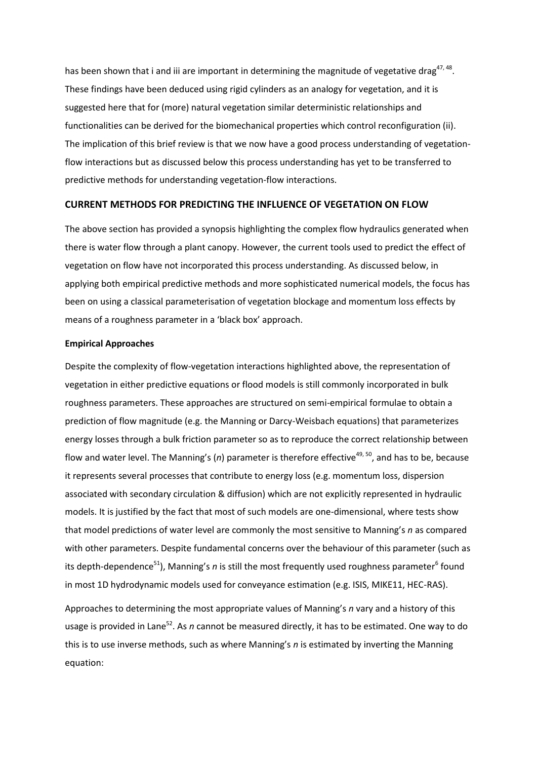has been shown that i and iii are important in determining the magnitude of vegetative drag<sup>[47,](#page-14-13) [48](#page-14-14)</sup>. These findings have been deduced using rigid cylinders as an analogy for vegetation, and it is suggested here that for (more) natural vegetation similar deterministic relationships and functionalities can be derived for the biomechanical properties which control reconfiguration (ii). The implication of this brief review is that we now have a good process understanding of vegetationflow interactions but as discussed below this process understanding has yet to be transferred to predictive methods for understanding vegetation-flow interactions.

### **CURRENT METHODS FOR PREDICTING THE INFLUENCE OF VEGETATION ON FLOW**

The above section has provided a synopsis highlighting the complex flow hydraulics generated when there is water flow through a plant canopy. However, the current tools used to predict the effect of vegetation on flow have not incorporated this process understanding. As discussed below, in applying both empirical predictive methods and more sophisticated numerical models, the focus has been on using a classical parameterisation of vegetation blockage and momentum loss effects by means of a roughness parameter in a 'black box' approach.

#### **Empirical Approaches**

Despite the complexity of flow-vegetation interactions highlighted above, the representation of vegetation in either predictive equations or flood models is still commonly incorporated in bulk roughness parameters. These approaches are structured on semi-empirical formulae to obtain a prediction of flow magnitude (e.g. the Manning or Darcy-Weisbach equations) that parameterizes energy losses through a bulk friction parameter so as to reproduce the correct relationship between flow and water level. The Manning's (n) parameter is therefore effective<sup>[49,](#page-14-15) [50](#page-14-16)</sup>, and has to be, because it represents several processes that contribute to energy loss (e.g. momentum loss, dispersion associated with secondary circulation & diffusion) which are not explicitly represented in hydraulic models. It is justified by the fact that most of such models are one-dimensional, where tests show that model predictions of water level are commonly the most sensitive to Manning's *n* as compared with other parameters. Despite fundamental concerns over the behaviour of this parameter (such as its depth-dependence<sup>[51](#page-14-17)</sup>), Manning's *n* is still the most f[r](#page-12-5)equently used roughness parameter<sup>6</sup> found in most 1D hydrodynamic models used for conveyance estimation (e.g. ISIS, MIKE11, HEC-RAS).

Approaches to determining the most appropriate values of Manning's *n* vary and a history of this usage is provided in Lane<sup>[52](#page-14-18)</sup>. As *n* cannot be measured directly, it has to be estimated. One way to do this is to use inverse methods, such as where Manning's *n* is estimated by inverting the Manning equation: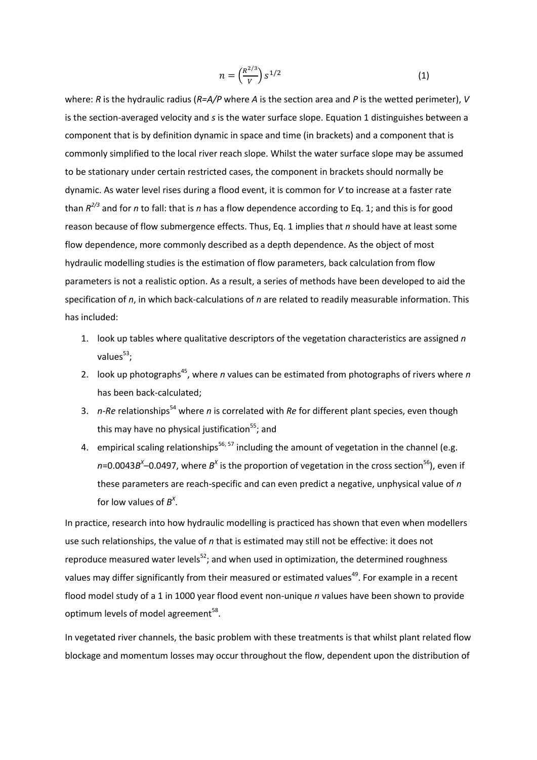$$
n = \left(\frac{R^{2/3}}{V}\right) s^{1/2} \tag{1}
$$

where: *R* is the hydraulic radius (*R=A/P* where *A* is the section area and *P* is the wetted perimeter), *V* is the section-averaged velocity and *s* is the water surface slope. Equation 1 distinguishes between a component that is by definition dynamic in space and time (in brackets) and a component that is commonly simplified to the local river reach slope. Whilst the water surface slope may be assumed to be stationary under certain restricted cases, the component in brackets should normally be dynamic. As water level rises during a flood event, it is common for *V* to increase at a faster rate than *R 2/3* and for *n* to fall: that is *n* has a flow dependence according to Eq. 1; and this is for good reason because of flow submergence effects. Thus, Eq. 1 implies that *n* should have at least some flow dependence, more commonly described as a depth dependence. As the object of most hydraulic modelling studies is the estimation of flow parameters, back calculation from flow parameters is not a realistic option. As a result, a series of methods have been developed to aid the specification of *n*, in which back-calculations of *n* are related to readily measurable information. This has included:

- 1. look up tables where qualitative descriptors of the vegetation characteristics are assigned *n* values<sup>[53](#page-14-19)</sup>;
- 2. look up photographs<sup>[45](#page-14-11)</sup>, where *n* values can be estimated from photographs of rivers where *n* has been back-calculated;
- 3. *n-Re* relationships[54](#page-14-20) where *n* is correlated with *Re* for different plant species, even though this may have no physical justification<sup>[55](#page-14-21)</sup>; and
- 4. empirical scaling relationships<sup>[56,](#page-14-22) [57](#page-14-23)</sup> including the amount of vegetation in the channel (e.g. *n*=0.0043*B*<sup>x</sup>–0.0497, where *B*<sup>x</sup> is the proportion of vegetation in the cross section<sup>[56](#page-14-22)</sup>), even if these parameters are reach-specific and can even predict a negative, unphysical value of *n* for low values of  $B^X$ .

In practice, research into how hydraulic modelling is practiced has shown that even when modellers use such relationships, the value of *n* that is estimated may still not be effective: it does not reproduce measured water levels<sup>[52](#page-14-18)</sup>; and when used in optimization, the determined roughness values may differ significantly from their measured or estimated values<sup>[49](#page-14-15)</sup>. For example in a recent flood model study of a 1 in 1000 year flood event non-unique *n* values have been shown to provide optimum levels of model agreement<sup>[58](#page-15-0)</sup>.

In vegetated river channels, the basic problem with these treatments is that whilst plant related flow blockage and momentum losses may occur throughout the flow, dependent upon the distribution of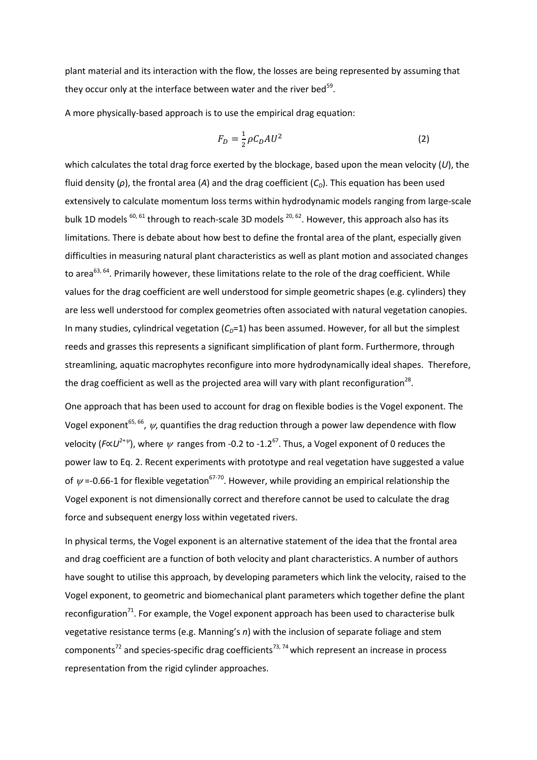plant material and its interaction with the flow, the losses are being represented by assuming that they occur only at the interface between water and the river bed<sup>[59](#page-15-1)</sup>.

A more physically-based approach is to use the empirical drag equation:

$$
F_D = \frac{1}{2} \rho C_D A U^2 \tag{2}
$$

which calculates the total drag force exerted by the blockage, based upon the mean velocity (*U*), the fluid density (*ρ*), the frontal area (*A*) and the drag coefficient (*CD*). This equation has been used extensively to calculate momentum loss terms within hydrodynamic models ranging from large-scale bulk 1D models  $^{60, 61}$  $^{60, 61}$  $^{60, 61}$  $^{60, 61}$  through to reach-scale 3D models  $^{20, 62}$  $^{20, 62}$  $^{20, 62}$  $^{20, 62}$ . However, this approach also has its limitations. There is debate about how best to define the frontal area of the plant, especially given difficulties in measuring natural plant characteristics as well as plant motion and associated changes to area<sup>[63,](#page-15-5) [64](#page-15-6)</sup>. Primarily however, these limitations relate to the role of the drag coefficient. While values for the drag coefficient are well understood for simple geometric shapes (e.g. cylinders) they are less well understood for complex geometries often associated with natural vegetation canopies. In many studies, cylindrical vegetation  $(C<sub>D</sub>=1)$  has been assumed. However, for all but the simplest reeds and grasses this represents a significant simplification of plant form. Furthermore, through streamlining, aquatic macrophytes reconfigure into more hydrodynamically ideal shapes. Therefore, the drag coefficient as well as the projected area will vary with plant reconfiguration<sup>[28](#page-13-14)</sup>.

One approach that has been used to account for drag on flexible bodies is the Vogel exponent. The Vogel exponent<sup>[65,](#page-15-7) [66](#page-15-8)</sup>,  $\psi$ , quantifies the drag reduction through a power law dependence with flow velocity (*F*∝U<sup>2+ $\psi$ </sup>), where  $\psi$  ranges from -0.2 to -1.2<sup>[67](#page-15-9)</sup>. Thus, a Vogel exponent of 0 reduces the power law to Eq. 2. Recent experiments with prototype and real vegetation have suggested a value of  $\psi$  =-0.66-1 for flexible vegetation<sup>[67-70](#page-15-9)</sup>. However, while providing an empirical relationship the Vogel exponent is not dimensionally correct and therefore cannot be used to calculate the drag force and subsequent energy loss within vegetated rivers.

In physical terms, the Vogel exponent is an alternative statement of the idea that the frontal area and drag coefficient are a function of both velocity and plant characteristics. A number of authors have sought to utilise this approach, by developing parameters which link the velocity, raised to the Vogel exponent, to geometric and biomechanical plant parameters which together define the plant reconfiguration<sup>[71](#page-15-10)</sup>. For example, the Vogel exponent approach has been used to characterise bulk vegetative resistance terms (e.g. Manning's *n*) with the inclusion of separate foliage and stem components<sup>[72](#page-15-11)</sup> and species-specific drag coefficients<sup>[73,](#page-15-12) [74](#page-15-13)</sup> which represent an increase in process representation from the rigid cylinder approaches.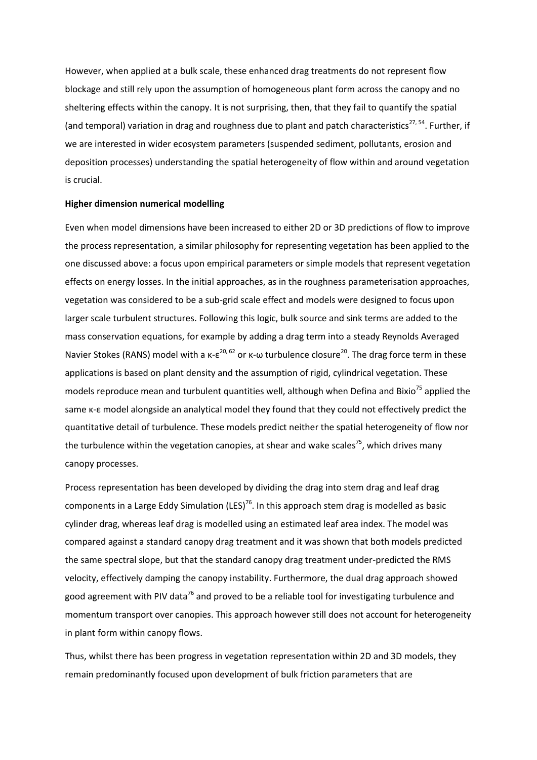However, when applied at a bulk scale, these enhanced drag treatments do not represent flow blockage and still rely upon the assumption of homogeneous plant form across the canopy and no sheltering effects within the canopy. It is not surprising, then, that they fail to quantify the spatial (and temporal) variation in drag and roughness due to plant and patch characteristics<sup>[27,](#page-13-13) [54](#page-14-20)</sup>. Further, if we are interested in wider ecosystem parameters (suspended sediment, pollutants, erosion and deposition processes) understanding the spatial heterogeneity of flow within and around vegetation is crucial.

#### **Higher dimension numerical modelling**

Even when model dimensions have been increased to either 2D or 3D predictions of flow to improve the process representation, a similar philosophy for representing vegetation has been applied to the one discussed above: a focus upon empirical parameters or simple models that represent vegetation effects on energy losses. In the initial approaches, as in the roughness parameterisation approaches, vegetation was considered to be a sub-grid scale effect and models were designed to focus upon larger scale turbulent structures. Following this logic, bulk source and sink terms are added to the mass conservation equations, for example by adding a drag term into a steady Reynolds Averaged Navier Stokes (RANS) model with a  $\kappa$ - $\varepsilon^{20,62}$  $\varepsilon^{20,62}$  $\varepsilon^{20,62}$  or  $\kappa$ - $\omega$  turbulence closure<sup>[20](#page-13-8)</sup>. The drag force term in these applications is based on plant density and the assumption of rigid, cylindrical vegetation. These models reproduce mean and turbulent quantities well, although when Defina and Bixio<sup>[75](#page-15-14)</sup> applied the same κ-ε model alongside an analytical model they found that they could not effectively predict the quantitative detail of turbulence. These models predict neither the spatial heterogeneity of flow nor the turbulence within the vegetation canopies, at shear and wake scales<sup>[75](#page-15-14)</sup>, which drives many canopy processes.

Process representation has been developed by dividing the drag into stem drag and leaf drag components in a Large Eddy Simulation (LES)<sup>[76](#page-15-15)</sup>. In this approach stem drag is modelled as basic cylinder drag, whereas leaf drag is modelled using an estimated leaf area index. The model was compared against a standard canopy drag treatment and it was shown that both models predicted the same spectral slope, but that the standard canopy drag treatment under-predicted the RMS velocity, effectively damping the canopy instability. Furthermore, the dual drag approach showed good agreement with PIV data<sup>[76](#page-15-15)</sup> and proved to be a reliable tool for investigating turbulence and momentum transport over canopies. This approach however still does not account for heterogeneity in plant form within canopy flows.

Thus, whilst there has been progress in vegetation representation within 2D and 3D models, they remain predominantly focused upon development of bulk friction parameters that are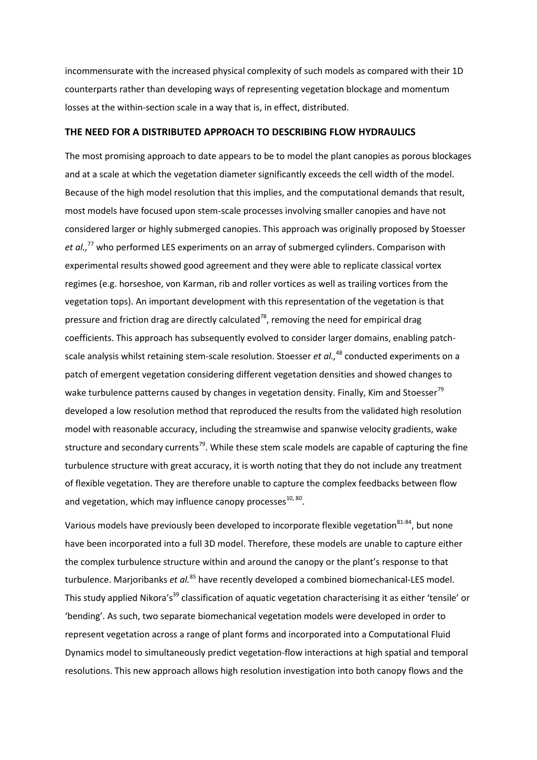incommensurate with the increased physical complexity of such models as compared with their 1D counterparts rather than developing ways of representing vegetation blockage and momentum losses at the within-section scale in a way that is, in effect, distributed.

#### **THE NEED FOR A DISTRIBUTED APPROACH TO DESCRIBING FLOW HYDRAULICS**

The most promising approach to date appears to be to model the plant canopies as porous blockages and at a scale at which the vegetation diameter significantly exceeds the cell width of the model. Because of the high model resolution that this implies, and the computational demands that result, most models have focused upon stem-scale processes involving smaller canopies and have not considered larger or highly submerged canopies. This approach was originally proposed by Stoesser *et al.,*[77](#page-15-16) who performed LES experiments on an array of submerged cylinders. Comparison with experimental results showed good agreement and they were able to replicate classical vortex regimes (e.g. horseshoe, von Karman, rib and roller vortices as well as trailing vortices from the vegetation tops). An important development with this representation of the vegetation is that pressure and friction drag are directly calculated<sup>[78](#page-15-17)</sup>, removing the need for empirical drag coefficients. This approach has subsequently evolved to consider larger domains, enabling patchscale analysis whilst retaining stem-scale resolution. Stoesser *et al.,*[48](#page-14-14) conducted experiments on a patch of emergent vegetation considering different vegetation densities and showed changes to wake turbulence patterns caused by changes in vegetation density. Finally, Kim and Stoesser<sup>[79](#page-15-18)</sup> developed a low resolution method that reproduced the results from the validated high resolution model with reasonable accuracy, including the streamwise and spanwise velocity gradients, wake structure and secondary currents<sup>[79](#page-15-18)</sup>. While these stem scale models are capable of capturing the fine turbulence structure with great accuracy, it is worth noting that they do not include any treatment of flexible vegetation. They are therefore unable to capture the complex feedbacks between flow and vegetation, which may influence canopy processes<sup>[10,](#page-12-9) [80](#page-15-19)</sup>.

Various models have previously been developed to incorporate flexible vegetation<sup>[81-84](#page-15-20)</sup>, but none have been incorporated into a full 3D model. Therefore, these models are unable to capture either the complex turbulence structure within and around the canopy or the plant's response to that turbulence. Marjoribanks *et al.*[85](#page-16-0) have recently developed a combined biomechanical-LES model. This study applied Nikora's<sup>[39](#page-14-5)</sup> classification of aquatic vegetation characterising it as either 'tensile' or 'bending'. As such, two separate biomechanical vegetation models were developed in order to represent vegetation across a range of plant forms and incorporated into a Computational Fluid Dynamics model to simultaneously predict vegetation-flow interactions at high spatial and temporal resolutions. This new approach allows high resolution investigation into both canopy flows and the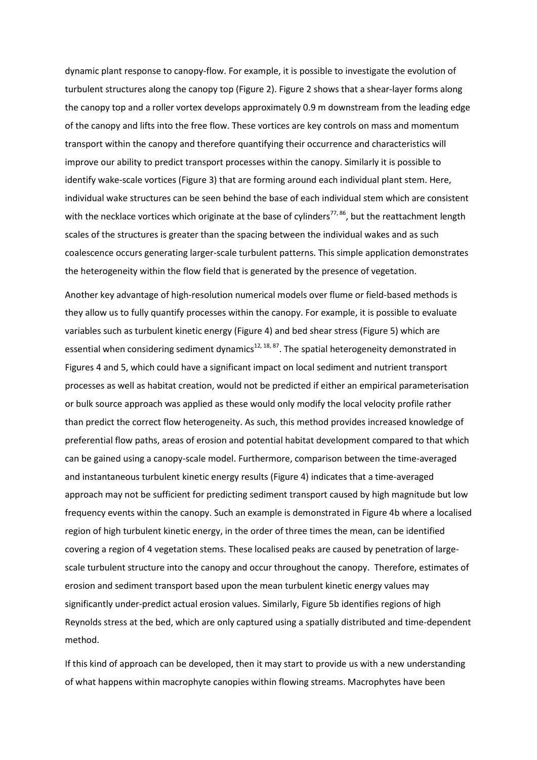dynamic plant response to canopy-flow. For example, it is possible to investigate the evolution of turbulent structures along the canopy top (Figure 2). Figure 2 shows that a shear-layer forms along the canopy top and a roller vortex develops approximately 0.9 m downstream from the leading edge of the canopy and lifts into the free flow. These vortices are key controls on mass and momentum transport within the canopy and therefore quantifying their occurrence and characteristics will improve our ability to predict transport processes within the canopy. Similarly it is possible to identify wake-scale vortices (Figure 3) that are forming around each individual plant stem. Here, individual wake structures can be seen behind the base of each individual stem which are consistent with the necklace vortices which originate at the base of cylinders<sup>[77,](#page-15-16)86</sup>, but the reattachment length scales of the structures is greater than the spacing between the individual wakes and as such coalescence occurs generating larger-scale turbulent patterns. This simple application demonstrates the heterogeneity within the flow field that is generated by the presence of vegetation.

Another key advantage of high-resolution numerical models over flume or field-based methods is they allow us to fully quantify processes within the canopy. For example, it is possible to evaluate variables such as turbulent kinetic energy (Figure 4) and bed shear stress (Figure 5) which are essential when considering sediment dynamics<sup>[12,](#page-13-0) [18,](#page-13-6) [87](#page-16-2)</sup>. The spatial heterogeneity demonstrated in Figures 4 and 5, which could have a significant impact on local sediment and nutrient transport processes as well as habitat creation, would not be predicted if either an empirical parameterisation or bulk source approach was applied as these would only modify the local velocity profile rather than predict the correct flow heterogeneity. As such, this method provides increased knowledge of preferential flow paths, areas of erosion and potential habitat development compared to that which can be gained using a canopy-scale model. Furthermore, comparison between the time-averaged and instantaneous turbulent kinetic energy results (Figure 4) indicates that a time-averaged approach may not be sufficient for predicting sediment transport caused by high magnitude but low frequency events within the canopy. Such an example is demonstrated in Figure 4b where a localised region of high turbulent kinetic energy, in the order of three times the mean, can be identified covering a region of 4 vegetation stems. These localised peaks are caused by penetration of largescale turbulent structure into the canopy and occur throughout the canopy. Therefore, estimates of erosion and sediment transport based upon the mean turbulent kinetic energy values may significantly under-predict actual erosion values. Similarly, Figure 5b identifies regions of high Reynolds stress at the bed, which are only captured using a spatially distributed and time-dependent method.

If this kind of approach can be developed, then it may start to provide us with a new understanding of what happens within macrophyte canopies within flowing streams. Macrophytes have been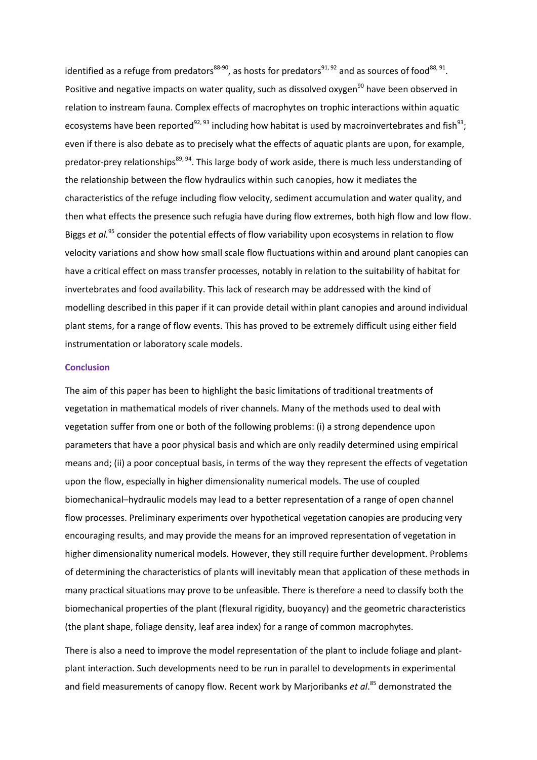identified as a refuge from predators<sup>[88-90](#page-16-3)</sup>, as hosts for predators<sup>[91,](#page-16-4) [92](#page-16-5)</sup> and as sources of food<sup>[88,](#page-16-3) [91](#page-16-4)</sup>. Positive and negative impacts on water quality, such as dissolved oxygen<sup>[90](#page-16-6)</sup> have been observed in relation to instream fauna. Complex effects of macrophytes on trophic interactions within aquatic ecosystems have been reported<sup>[92,](#page-16-5) [93](#page-16-7)</sup> including how habitat is used by macroinvertebrates and fish<sup>[93](#page-16-7)</sup>; even if there is also debate as to precisely what the effects of aquatic plants are upon, for example, predator-prey relationships<sup>[89,](#page-16-8) [94](#page-16-9)</sup>. This large body of work aside, there is much less understanding of the relationship between the flow hydraulics within such canopies, how it mediates the characteristics of the refuge including flow velocity, sediment accumulation and water quality, and then what effects the presence such refugia have during flow extremes, both high flow and low flow. Biggs *et al.*[95](#page-16-10) consider the potential effects of flow variability upon ecosystems in relation to flow velocity variations and show how small scale flow fluctuations within and around plant canopies can have a critical effect on mass transfer processes, notably in relation to the suitability of habitat for invertebrates and food availability. This lack of research may be addressed with the kind of modelling described in this paper if it can provide detail within plant canopies and around individual plant stems, for a range of flow events. This has proved to be extremely difficult using either field instrumentation or laboratory scale models.

#### **Conclusion**

The aim of this paper has been to highlight the basic limitations of traditional treatments of vegetation in mathematical models of river channels. Many of the methods used to deal with vegetation suffer from one or both of the following problems: (i) a strong dependence upon parameters that have a poor physical basis and which are only readily determined using empirical means and; (ii) a poor conceptual basis, in terms of the way they represent the effects of vegetation upon the flow, especially in higher dimensionality numerical models. The use of coupled biomechanical–hydraulic models may lead to a better representation of a range of open channel flow processes. Preliminary experiments over hypothetical vegetation canopies are producing very encouraging results, and may provide the means for an improved representation of vegetation in higher dimensionality numerical models. However, they still require further development. Problems of determining the characteristics of plants will inevitably mean that application of these methods in many practical situations may prove to be unfeasible. There is therefore a need to classify both the biomechanical properties of the plant (flexural rigidity, buoyancy) and the geometric characteristics (the plant shape, foliage density, leaf area index) for a range of common macrophytes.

There is also a need to improve the model representation of the plant to include foliage and plantplant interaction. Such developments need to be run in parallel to developments in experimental and field measurements of canopy flow. Recent work by Marjoribanks *et al*. [85](#page-16-0) demonstrated the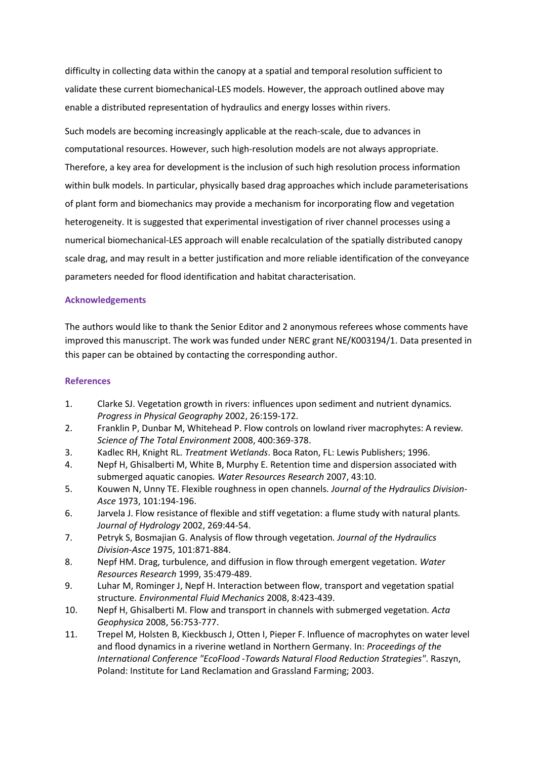difficulty in collecting data within the canopy at a spatial and temporal resolution sufficient to validate these current biomechanical-LES models. However, the approach outlined above may enable a distributed representation of hydraulics and energy losses within rivers.

Such models are becoming increasingly applicable at the reach-scale, due to advances in computational resources. However, such high-resolution models are not always appropriate. Therefore, a key area for development is the inclusion of such high resolution process information within bulk models. In particular, physically based drag approaches which include parameterisations of plant form and biomechanics may provide a mechanism for incorporating flow and vegetation heterogeneity. It is suggested that experimental investigation of river channel processes using a numerical biomechanical-LES approach will enable recalculation of the spatially distributed canopy scale drag, and may result in a better justification and more reliable identification of the conveyance parameters needed for flood identification and habitat characterisation.

### **Acknowledgements**

The authors would like to thank the Senior Editor and 2 anonymous referees whose comments have improved this manuscript. The work was funded under NERC grant NE/K003194/1. Data presented in this paper can be obtained by contacting the corresponding author.

## **References**

- <span id="page-12-0"></span>1. Clarke SJ. Vegetation growth in rivers: influences upon sediment and nutrient dynamics*. Progress in Physical Geography* 2002, 26:159-172.
- <span id="page-12-1"></span>2. Franklin P, Dunbar M, Whitehead P. Flow controls on lowland river macrophytes: A review*. Science of The Total Environment* 2008, 400:369-378.
- <span id="page-12-2"></span>3. Kadlec RH, Knight RL. *Treatment Wetlands*. Boca Raton, FL: Lewis Publishers; 1996.
- <span id="page-12-3"></span>4. Nepf H, Ghisalberti M, White B, Murphy E. Retention time and dispersion associated with submerged aquatic canopies*. Water Resources Research* 2007, 43:10.
- <span id="page-12-4"></span>5. Kouwen N, Unny TE. Flexible roughness in open channels*. Journal of the Hydraulics Division-Asce* 1973, 101:194-196.
- <span id="page-12-5"></span>6. Jarvela J. Flow resistance of flexible and stiff vegetation: a flume study with natural plants*. Journal of Hydrology* 2002, 269:44-54.
- <span id="page-12-6"></span>7. Petryk S, Bosmajian G. Analysis of flow through vegetation*. Journal of the Hydraulics Division-Asce* 1975, 101:871-884.
- <span id="page-12-7"></span>8. Nepf HM. Drag, turbulence, and diffusion in flow through emergent vegetation*. Water Resources Research* 1999, 35:479-489.
- <span id="page-12-8"></span>9. Luhar M, Rominger J, Nepf H. Interaction between flow, transport and vegetation spatial structure*. Environmental Fluid Mechanics* 2008, 8:423-439.
- <span id="page-12-9"></span>10. Nepf H, Ghisalberti M. Flow and transport in channels with submerged vegetation*. Acta Geophysica* 2008, 56:753-777.
- <span id="page-12-10"></span>11. Trepel M, Holsten B, Kieckbusch J, Otten I, Pieper F. Influence of macrophytes on water level and flood dynamics in a riverine wetland in Northern Germany. In: *Proceedings of the International Conference "EcoFlood -Towards Natural Flood Reduction Strategies"*. Raszyn, Poland: Institute for Land Reclamation and Grassland Farming; 2003.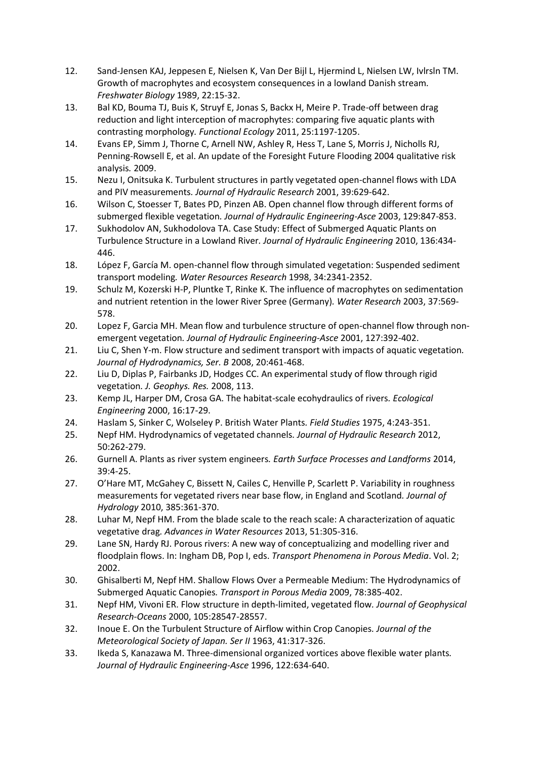- <span id="page-13-0"></span>12. Sand-Jensen KAJ, Jeppesen E, Nielsen K, Van Der Bijl L, Hjermind L, Nielsen LW, Ivlrsln TM. Growth of macrophytes and ecosystem consequences in a lowland Danish stream*. Freshwater Biology* 1989, 22:15-32.
- <span id="page-13-1"></span>13. Bal KD, Bouma TJ, Buis K, Struyf E, Jonas S, Backx H, Meire P. Trade-off between drag reduction and light interception of macrophytes: comparing five aquatic plants with contrasting morphology*. Functional Ecology* 2011, 25:1197-1205.
- <span id="page-13-2"></span>14. Evans EP, Simm J, Thorne C, Arnell NW, Ashley R, Hess T, Lane S, Morris J, Nicholls RJ, Penning-Rowsell E, et al. An update of the Foresight Future Flooding 2004 qualitative risk analysis*.* 2009.
- <span id="page-13-3"></span>15. Nezu I, Onitsuka K. Turbulent structures in partly vegetated open-channel flows with LDA and PIV measurements*. Journal of Hydraulic Research* 2001, 39:629-642.
- <span id="page-13-4"></span>16. Wilson C, Stoesser T, Bates PD, Pinzen AB. Open channel flow through different forms of submerged flexible vegetation*. Journal of Hydraulic Engineering-Asce* 2003, 129:847-853.
- <span id="page-13-5"></span>17. Sukhodolov AN, Sukhodolova TA. Case Study: Effect of Submerged Aquatic Plants on Turbulence Structure in a Lowland River*. Journal of Hydraulic Engineering* 2010, 136:434- 446.
- <span id="page-13-6"></span>18. López F, García M. open-channel flow through simulated vegetation: Suspended sediment transport modeling*. Water Resources Research* 1998, 34:2341-2352.
- <span id="page-13-7"></span>19. Schulz M, Kozerski H-P, Pluntke T, Rinke K. The influence of macrophytes on sedimentation and nutrient retention in the lower River Spree (Germany)*. Water Research* 2003, 37:569- 578.
- <span id="page-13-8"></span>20. Lopez F, Garcia MH. Mean flow and turbulence structure of open-channel flow through nonemergent vegetation*. Journal of Hydraulic Engineering-Asce* 2001, 127:392-402.
- 21. Liu C, Shen Y-m. Flow structure and sediment transport with impacts of aquatic vegetation*. Journal of Hydrodynamics, Ser. B* 2008, 20:461-468.
- 22. Liu D, Diplas P, Fairbanks JD, Hodges CC. An experimental study of flow through rigid vegetation*. J. Geophys. Res.* 2008, 113.
- <span id="page-13-9"></span>23. Kemp JL, Harper DM, Crosa GA. The habitat-scale ecohydraulics of rivers*. Ecological Engineering* 2000, 16:17-29.
- <span id="page-13-10"></span>24. Haslam S, Sinker C, Wolseley P. British Water Plants*. Field Studies* 1975, 4:243-351.
- <span id="page-13-11"></span>25. Nepf HM. Hydrodynamics of vegetated channels*. Journal of Hydraulic Research* 2012, 50:262-279.
- <span id="page-13-12"></span>26. Gurnell A. Plants as river system engineers*. Earth Surface Processes and Landforms* 2014, 39:4-25.
- <span id="page-13-13"></span>27. O'Hare MT, McGahey C, Bissett N, Cailes C, Henville P, Scarlett P. Variability in roughness measurements for vegetated rivers near base flow, in England and Scotland*. Journal of Hydrology* 2010, 385:361-370.
- <span id="page-13-14"></span>28. Luhar M, Nepf HM. From the blade scale to the reach scale: A characterization of aquatic vegetative drag*. Advances in Water Resources* 2013, 51:305-316.
- <span id="page-13-15"></span>29. Lane SN, Hardy RJ. Porous rivers: A new way of conceptualizing and modelling river and floodplain flows. In: Ingham DB, Pop I, eds. *Transport Phenomena in Porous Media*. Vol. 2; 2002.
- <span id="page-13-16"></span>30. Ghisalberti M, Nepf HM. Shallow Flows Over a Permeable Medium: The Hydrodynamics of Submerged Aquatic Canopies*. Transport in Porous Media* 2009, 78:385-402.
- <span id="page-13-17"></span>31. Nepf HM, Vivoni ER. Flow structure in depth-limited, vegetated flow*. Journal of Geophysical Research-Oceans* 2000, 105:28547-28557.
- <span id="page-13-18"></span>32. Inoue E. On the Turbulent Structure of Airflow within Crop Canopies*. Journal of the Meteorological Society of Japan. Ser II* 1963, 41:317-326.
- <span id="page-13-19"></span>33. Ikeda S, Kanazawa M. Three-dimensional organized vortices above flexible water plants*. Journal of Hydraulic Engineering-Asce* 1996, 122:634-640.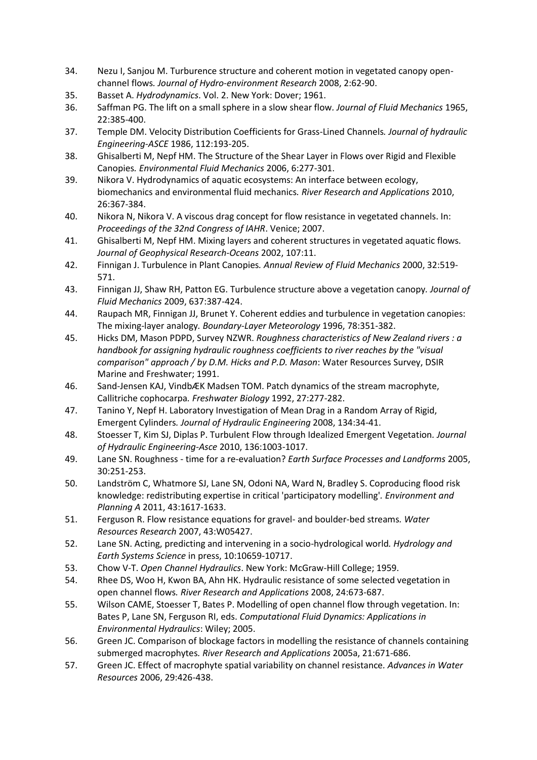- <span id="page-14-0"></span>34. Nezu I, Sanjou M. Turburence structure and coherent motion in vegetated canopy openchannel flows*. Journal of Hydro-environment Research* 2008, 2:62-90.
- <span id="page-14-1"></span>35. Basset A. *Hydrodynamics*. Vol. 2. New York: Dover; 1961.
- <span id="page-14-2"></span>36. Saffman PG. The lift on a small sphere in a slow shear flow*. Journal of Fluid Mechanics* 1965, 22:385-400.
- <span id="page-14-3"></span>37. Temple DM. Velocity Distribution Coefficients for Grass-Lined Channels*. Journal of hydraulic Engineering-ASCE* 1986, 112:193-205.
- <span id="page-14-4"></span>38. Ghisalberti M, Nepf HM. The Structure of the Shear Layer in Flows over Rigid and Flexible Canopies*. Environmental Fluid Mechanics* 2006, 6:277-301.
- <span id="page-14-5"></span>39. Nikora V. Hydrodynamics of aquatic ecosystems: An interface between ecology, biomechanics and environmental fluid mechanics*. River Research and Applications* 2010, 26:367-384.
- <span id="page-14-6"></span>40. Nikora N, Nikora V. A viscous drag concept for flow resistance in vegetated channels. In: *Proceedings of the 32nd Congress of IAHR*. Venice; 2007.
- <span id="page-14-7"></span>41. Ghisalberti M, Nepf HM. Mixing layers and coherent structures in vegetated aquatic flows*. Journal of Geophysical Research-Oceans* 2002, 107:11.
- <span id="page-14-8"></span>42. Finnigan J. Turbulence in Plant Canopies*. Annual Review of Fluid Mechanics* 2000, 32:519- 571.
- <span id="page-14-9"></span>43. Finnigan JJ, Shaw RH, Patton EG. Turbulence structure above a vegetation canopy*. Journal of Fluid Mechanics* 2009, 637:387-424.
- <span id="page-14-10"></span>44. Raupach MR, Finnigan JJ, Brunet Y. Coherent eddies and turbulence in vegetation canopies: The mixing-layer analogy*. Boundary-Layer Meteorology* 1996, 78:351-382.
- <span id="page-14-11"></span>45. Hicks DM, Mason PDPD, Survey NZWR. *Roughness characteristics of New Zealand rivers : a handbook for assigning hydraulic roughness coefficients to river reaches by the "visual comparison" approach / by D.M. Hicks and P.D. Mason*: Water Resources Survey, DSIR Marine and Freshwater; 1991.
- <span id="page-14-12"></span>46. Sand-Jensen KAJ, VindbÆK Madsen TOM. Patch dynamics of the stream macrophyte, Callitriche cophocarpa*. Freshwater Biology* 1992, 27:277-282.
- <span id="page-14-13"></span>47. Tanino Y, Nepf H. Laboratory Investigation of Mean Drag in a Random Array of Rigid, Emergent Cylinders*. Journal of Hydraulic Engineering* 2008, 134:34-41.
- <span id="page-14-14"></span>48. Stoesser T, Kim SJ, Diplas P. Turbulent Flow through Idealized Emergent Vegetation*. Journal of Hydraulic Engineering-Asce* 2010, 136:1003-1017.
- <span id="page-14-15"></span>49. Lane SN. Roughness - time for a re-evaluation? *Earth Surface Processes and Landforms* 2005, 30:251-253.
- <span id="page-14-16"></span>50. Landström C, Whatmore SJ, Lane SN, Odoni NA, Ward N, Bradley S. Coproducing flood risk knowledge: redistributing expertise in critical 'participatory modelling'*. Environment and Planning A* 2011, 43:1617-1633.
- <span id="page-14-17"></span>51. Ferguson R. Flow resistance equations for gravel- and boulder-bed streams*. Water Resources Research* 2007, 43:W05427.
- <span id="page-14-18"></span>52. Lane SN. Acting, predicting and intervening in a socio-hydrological world*. Hydrology and Earth Systems Science* in press, 10:10659-10717.
- <span id="page-14-19"></span>53. Chow V-T. *Open Channel Hydraulics*. New York: McGraw-Hill College; 1959.
- <span id="page-14-20"></span>54. Rhee DS, Woo H, Kwon BA, Ahn HK. Hydraulic resistance of some selected vegetation in open channel flows*. River Research and Applications* 2008, 24:673-687.
- <span id="page-14-21"></span>55. Wilson CAME, Stoesser T, Bates P. Modelling of open channel flow through vegetation. In: Bates P, Lane SN, Ferguson RI, eds. *Computational Fluid Dynamics: Applications in Environmental Hydraulics*: Wiley; 2005.
- <span id="page-14-22"></span>56. Green JC. Comparison of blockage factors in modelling the resistance of channels containing submerged macrophytes*. River Research and Applications* 2005a, 21:671-686.
- <span id="page-14-23"></span>57. Green JC. Effect of macrophyte spatial variability on channel resistance*. Advances in Water Resources* 2006, 29:426-438.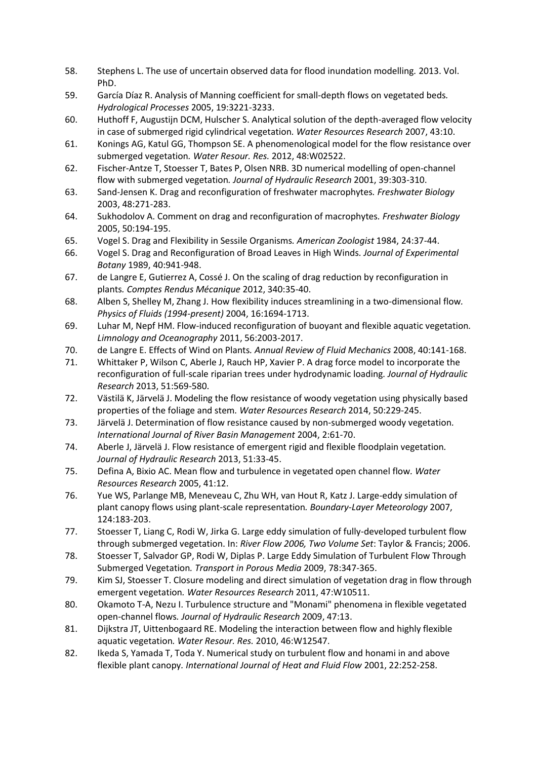- <span id="page-15-0"></span>58. Stephens L. The use of uncertain observed data for flood inundation modelling*.* 2013. Vol. PhD.
- <span id="page-15-1"></span>59. García Díaz R. Analysis of Manning coefficient for small-depth flows on vegetated beds*. Hydrological Processes* 2005, 19:3221-3233.
- <span id="page-15-2"></span>60. Huthoff F, Augustijn DCM, Hulscher S. Analytical solution of the depth-averaged flow velocity in case of submerged rigid cylindrical vegetation*. Water Resources Research* 2007, 43:10.
- <span id="page-15-3"></span>61. Konings AG, Katul GG, Thompson SE. A phenomenological model for the flow resistance over submerged vegetation*. Water Resour. Res.* 2012, 48:W02522.
- <span id="page-15-4"></span>62. Fischer-Antze T, Stoesser T, Bates P, Olsen NRB. 3D numerical modelling of open-channel flow with submerged vegetation*. Journal of Hydraulic Research* 2001, 39:303-310.
- <span id="page-15-5"></span>63. Sand-Jensen K. Drag and reconfiguration of freshwater macrophytes*. Freshwater Biology* 2003, 48:271-283.
- <span id="page-15-6"></span>64. Sukhodolov A. Comment on drag and reconfiguration of macrophytes*. Freshwater Biology* 2005, 50:194-195.
- <span id="page-15-7"></span>65. Vogel S. Drag and Flexibility in Sessile Organisms*. American Zoologist* 1984, 24:37-44.
- <span id="page-15-8"></span>66. Vogel S. Drag and Reconfiguration of Broad Leaves in High Winds*. Journal of Experimental Botany* 1989, 40:941-948.
- <span id="page-15-9"></span>67. de Langre E, Gutierrez A, Cossé J. On the scaling of drag reduction by reconfiguration in plants*. Comptes Rendus Mécanique* 2012, 340:35-40.
- 68. Alben S, Shelley M, Zhang J. How flexibility induces streamlining in a two-dimensional flow*. Physics of Fluids (1994-present)* 2004, 16:1694-1713.
- 69. Luhar M, Nepf HM. Flow-induced reconfiguration of buoyant and flexible aquatic vegetation*. Limnology and Oceanography* 2011, 56:2003-2017.
- 70. de Langre E. Effects of Wind on Plants*. Annual Review of Fluid Mechanics* 2008, 40:141-168.
- <span id="page-15-10"></span>71. Whittaker P, Wilson C, Aberle J, Rauch HP, Xavier P. A drag force model to incorporate the reconfiguration of full-scale riparian trees under hydrodynamic loading*. Journal of Hydraulic Research* 2013, 51:569-580.
- <span id="page-15-11"></span>72. Västilä K, Järvelä J. Modeling the flow resistance of woody vegetation using physically based properties of the foliage and stem*. Water Resources Research* 2014, 50:229-245.
- <span id="page-15-12"></span>73. Järvelä J. Determination of flow resistance caused by non‐submerged woody vegetation*. International Journal of River Basin Management* 2004, 2:61-70.
- <span id="page-15-13"></span>74. Aberle J, Järvelä J. Flow resistance of emergent rigid and flexible floodplain vegetation*. Journal of Hydraulic Research* 2013, 51:33-45.
- <span id="page-15-14"></span>75. Defina A, Bixio AC. Mean flow and turbulence in vegetated open channel flow*. Water Resources Research* 2005, 41:12.
- <span id="page-15-15"></span>76. Yue WS, Parlange MB, Meneveau C, Zhu WH, van Hout R, Katz J. Large-eddy simulation of plant canopy flows using plant-scale representation*. Boundary-Layer Meteorology* 2007, 124:183-203.
- <span id="page-15-16"></span>77. Stoesser T, Liang C, Rodi W, Jirka G. Large eddy simulation of fully-developed turbulent flow through submerged vegetation. In: *River Flow 2006, Two Volume Set*: Taylor & Francis; 2006.
- <span id="page-15-17"></span>78. Stoesser T, Salvador GP, Rodi W, Diplas P. Large Eddy Simulation of Turbulent Flow Through Submerged Vegetation*. Transport in Porous Media* 2009, 78:347-365.
- <span id="page-15-18"></span>79. Kim SJ, Stoesser T. Closure modeling and direct simulation of vegetation drag in flow through emergent vegetation*. Water Resources Research* 2011, 47:W10511.
- <span id="page-15-19"></span>80. Okamoto T-A, Nezu I. Turbulence structure and "Monami" phenomena in flexible vegetated open-channel flows*. Journal of Hydraulic Research* 2009, 47:13.
- <span id="page-15-20"></span>81. Dijkstra JT, Uittenbogaard RE. Modeling the interaction between flow and highly flexible aquatic vegetation*. Water Resour. Res.* 2010, 46:W12547.
- 82. Ikeda S, Yamada T, Toda Y. Numerical study on turbulent flow and honami in and above flexible plant canopy*. International Journal of Heat and Fluid Flow* 2001, 22:252-258.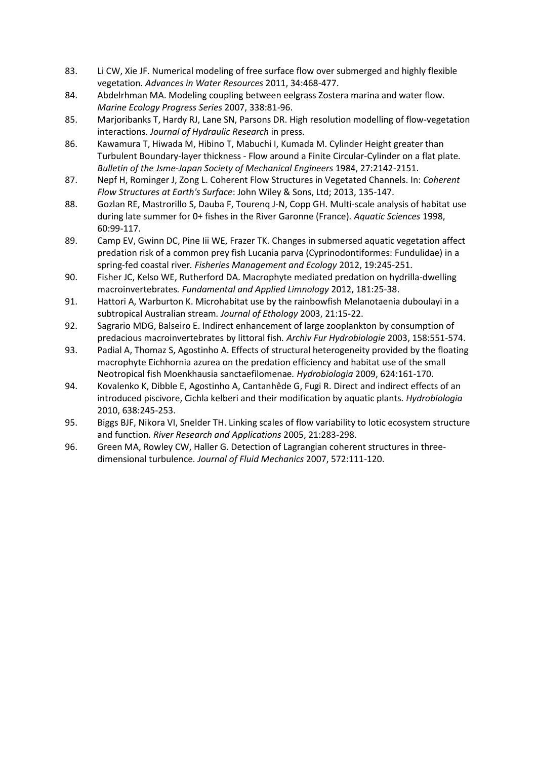- 83. Li CW, Xie JF. Numerical modeling of free surface flow over submerged and highly flexible vegetation*. Advances in Water Resources* 2011, 34:468-477.
- 84. Abdelrhman MA. Modeling coupling between eelgrass Zostera marina and water flow*. Marine Ecology Progress Series* 2007, 338:81-96.
- <span id="page-16-0"></span>85. Marjoribanks T, Hardy RJ, Lane SN, Parsons DR. High resolution modelling of flow-vegetation interactions*. Journal of Hydraulic Research* in press.
- <span id="page-16-1"></span>86. Kawamura T, Hiwada M, Hibino T, Mabuchi I, Kumada M. Cylinder Height greater than Turbulent Boundary-layer thickness - Flow around a Finite Circular-Cylinder on a flat plate*. Bulletin of the Jsme-Japan Society of Mechanical Engineers* 1984, 27:2142-2151.
- <span id="page-16-2"></span>87. Nepf H, Rominger J, Zong L. Coherent Flow Structures in Vegetated Channels. In: *Coherent Flow Structures at Earth's Surface*: John Wiley & Sons, Ltd; 2013, 135-147.
- <span id="page-16-3"></span>88. Gozlan RE, Mastrorillo S, Dauba F, Tourenq J-N, Copp GH. Multi-scale analysis of habitat use during late summer for 0+ fishes in the River Garonne (France)*. Aquatic Sciences* 1998, 60:99-117.
- <span id="page-16-8"></span>89. Camp EV, Gwinn DC, Pine Iii WE, Frazer TK. Changes in submersed aquatic vegetation affect predation risk of a common prey fish Lucania parva (Cyprinodontiformes: Fundulidae) in a spring-fed coastal river*. Fisheries Management and Ecology* 2012, 19:245-251.
- <span id="page-16-6"></span>90. Fisher JC, Kelso WE, Rutherford DA. Macrophyte mediated predation on hydrilla-dwelling macroinvertebrates*. Fundamental and Applied Limnology* 2012, 181:25-38.
- <span id="page-16-4"></span>91. Hattori A, Warburton K. Microhabitat use by the rainbowfish Melanotaenia duboulayi in a subtropical Australian stream*. Journal of Ethology* 2003, 21:15-22.
- <span id="page-16-5"></span>92. Sagrario MDG, Balseiro E. Indirect enhancement of large zooplankton by consumption of predacious macroinvertebrates by littoral fish*. Archiv Fur Hydrobiologie* 2003, 158:551-574.
- <span id="page-16-7"></span>93. Padial A, Thomaz S, Agostinho A. Effects of structural heterogeneity provided by the floating macrophyte Eichhornia azurea on the predation efficiency and habitat use of the small Neotropical fish Moenkhausia sanctaefilomenae*. Hydrobiologia* 2009, 624:161-170.
- <span id="page-16-9"></span>94. Kovalenko K, Dibble E, Agostinho A, Cantanhêde G, Fugi R. Direct and indirect effects of an introduced piscivore, Cichla kelberi and their modification by aquatic plants*. Hydrobiologia* 2010, 638:245-253.
- <span id="page-16-10"></span>95. Biggs BJF, Nikora VI, Snelder TH. Linking scales of flow variability to lotic ecosystem structure and function*. River Research and Applications* 2005, 21:283-298.
- <span id="page-16-11"></span>96. Green MA, Rowley CW, Haller G. Detection of Lagrangian coherent structures in threedimensional turbulence*. Journal of Fluid Mechanics* 2007, 572:111-120.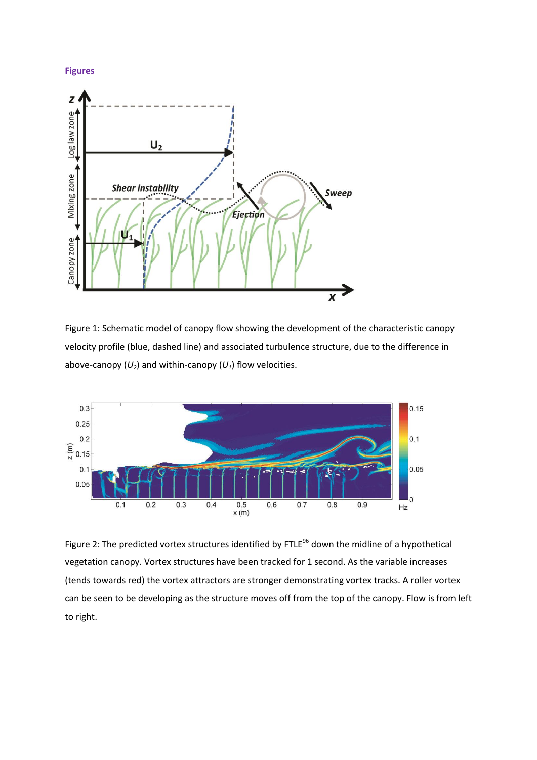



Figure 1: Schematic model of canopy flow showing the development of the characteristic canopy velocity profile (blue, dashed line) and associated turbulence structure, due to the difference in above-canopy  $(U_2)$  and within-canopy  $(U_1)$  flow velocities.



Figure 2: The predicted vortex structures identified by FTLE<sup>[96](#page-16-11)</sup> down the midline of a hypothetical vegetation canopy. Vortex structures have been tracked for 1 second. As the variable increases (tends towards red) the vortex attractors are stronger demonstrating vortex tracks. A roller vortex can be seen to be developing as the structure moves off from the top of the canopy. Flow is from left to right.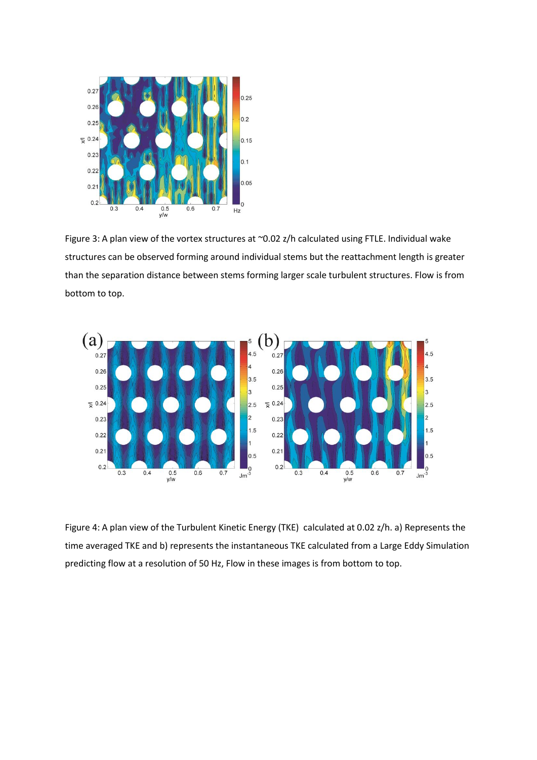

Figure 3: A plan view of the vortex structures at ~0.02 z/h calculated using FTLE. Individual wake structures can be observed forming around individual stems but the reattachment length is greater than the separation distance between stems forming larger scale turbulent structures. Flow is from bottom to top.



Figure 4: A plan view of the Turbulent Kinetic Energy (TKE) calculated at 0.02 z/h. a) Represents the time averaged TKE and b) represents the instantaneous TKE calculated from a Large Eddy Simulation predicting flow at a resolution of 50 Hz, Flow in these images is from bottom to top.